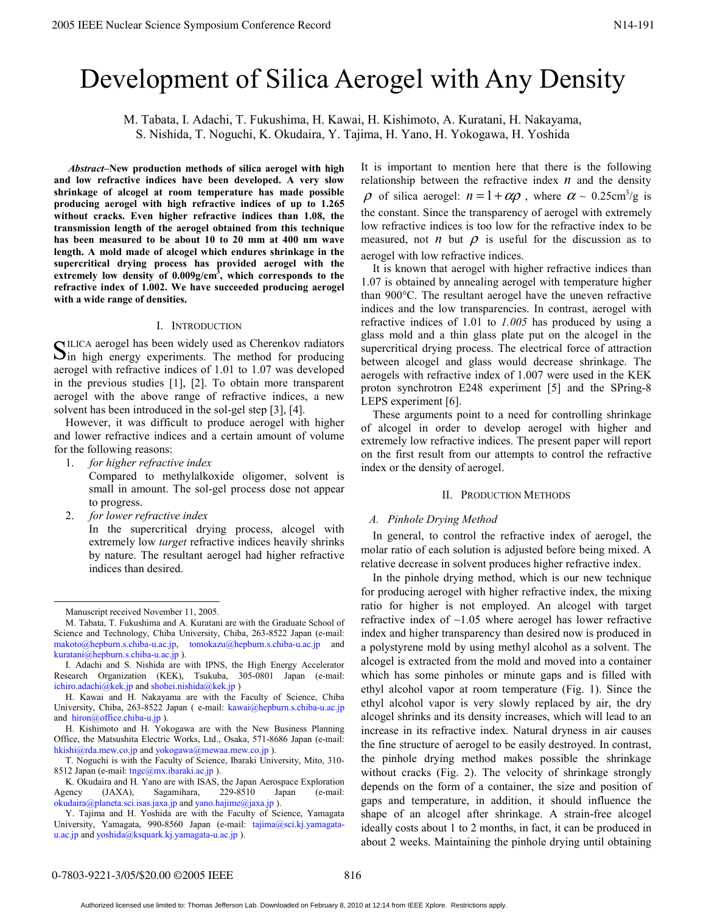# Development of Silica Aerogel with Any Density

M. Tabata, I. Adachi, T. Fukushima, H. Kawai, H. Kishimoto, A. Kuratani, H. Nakayama, S. Nishida, T. Noguchi, K. Okudaira, Y. Tajima, H. Yano, H. Yokogawa, H. Yoshida

 *Abstract–***New production methods of silica aerogel with high and low refractive indices have been developed. A very slow shrinkage of alcogel at room temperature has made possible producing aerogel with high refractive indices of up to 1.265 without cracks. Even higher refractive indices than 1.08, the transmission length of the aerogel obtained from this technique has been measured to be about 10 to 20 mm at 400 nm wave length. A mold made of alcogel which endures shrinkage in the supercritical drying process has provided aerogel with the extremely low density of 0.009g/cm3 , which corresponds to the refractive index of 1.002. We have succeeded producing aerogel with a wide range of densities.** 

# I. INTRODUCTION

ILICA aerogel has been widely used as Cherenkov radiators SILICA aerogel has been widely used as Cherenkov radiators<br>Sin high energy experiments. The method for producing aerogel with refractive indices of 1.01 to 1.07 was developed in the previous studies [1], [2]. To obtain more transparent aerogel with the above range of refractive indices, a new solvent has been introduced in the sol-gel step [3], [4].

However, it was difficult to produce aerogel with higher and lower refractive indices and a certain amount of volume for the following reasons:

- 1. *for higher refractive index*  Compared to methylalkoxide oligomer, solvent is small in amount. The sol-gel process dose not appear to progress.
- 2. *for lower refractive index*

In the supercritical drying process, alcogel with extremely low *target* refractive indices heavily shrinks by nature. The resultant aerogel had higher refractive indices than desired.

It is important to mention here that there is the following relationship between the refractive index  $n$  and the density  $\rho$  of silica aerogel:  $n = 1 + \alpha \rho$ , where  $\alpha \sim 0.25 \text{cm}^3/\text{g}$  is the constant. Since the transparency of aerogel with extremely low refractive indices is too low for the refractive index to be measured, not *n* but  $\rho$  is useful for the discussion as to aerogel with low refractive indices.

It is known that aerogel with higher refractive indices than 1.07 is obtained by annealing aerogel with temperature higher than 900°C. The resultant aerogel have the uneven refractive indices and the low transparencies. In contrast, aerogel with refractive indices of 1.01 to *1.005* has produced by using a glass mold and a thin glass plate put on the alcogel in the supercritical drying process. The electrical force of attraction between alcogel and glass would decrease shrinkage. The aerogels with refractive index of 1.007 were used in the KEK proton synchrotron E248 experiment [5] and the SPring-8 LEPS experiment [6].

These arguments point to a need for controlling shrinkage of alcogel in order to develop aerogel with higher and extremely low refractive indices. The present paper will report on the first result from our attempts to control the refractive index or the density of aerogel.

## II. PRODUCTION METHODS

## *A. Pinhole Drying Method*

In general, to control the refractive index of aerogel, the molar ratio of each solution is adjusted before being mixed. A relative decrease in solvent produces higher refractive index.

In the pinhole drying method, which is our new technique for producing aerogel with higher refractive index, the mixing ratio for higher is not employed. An alcogel with target refractive index of  $~1.05$  where aerogel has lower refractive index and higher transparency than desired now is produced in a polystyrene mold by using methyl alcohol as a solvent. The alcogel is extracted from the mold and moved into a container which has some pinholes or minute gaps and is filled with ethyl alcohol vapor at room temperature (Fig. 1). Since the ethyl alcohol vapor is very slowly replaced by air, the dry alcogel shrinks and its density increases, which will lead to an increase in its refractive index. Natural dryness in air causes the fine structure of aerogel to be easily destroyed. In contrast, the pinhole drying method makes possible the shrinkage without cracks (Fig. 2). The velocity of shrinkage strongly depends on the form of a container, the size and position of gaps and temperature, in addition, it should influence the shape of an alcogel after shrinkage. A strain-free alcogel ideally costs about 1 to 2 months, in fact, it can be produced in about 2 weeks. Maintaining the pinhole drying until obtaining 2003 EEE Notes Symposium Conference Record<br>
2003 IEEE Notes Symposium Conference Record<br>
2003 IEEE Notes Symposium Conference Record<br>
2003 IEEE Notes Symposium Conference Records Conference Records Conference Records Conf

Manuscript received November 11, 2005.

M. Tabata, T. Fukushima and A. Kuratani are with the Graduate School of Science and Technology, Chiba University, Chiba, 263-8522 Japan (e-mail: makoto@hepburn.s.chiba-u.ac.jp, tomokazu@hepburn.s.chiba-u.ac.jp and kuratani@hepburn.s.chiba-u.ac.jp ).

I. Adachi and S. Nishida are with IPNS, the High Energy Accelerator Research Organization (KEK), Tsukuba, 305-0801 Japan (e-mail: ichiro.adachi@kek.jp and shohei.nishida@kek.jp )

H. Kawai and H. Nakayama are with the Faculty of Science, Chiba University, Chiba, 263-8522 Japan ( e-mail: kawai@hepburn.s.chiba-u.ac.jp and hiron@office.chiba-u.jp ).

H. Kishimoto and H. Yokogawa are with the New Business Planning Office, the Matsushita Electric Works, Ltd., Osaka, 571-8686 Japan (e-mail: hkishi@rda.mew.co.jp and yokogawa@mewaa.mew.co.jp ).

T. Noguchi is with the Faculty of Science, Ibaraki University, Mito, 310- 8512 Japan (e-mail: tngc@mx.ibaraki.ac.jp).

K. Okudaira and H. Yano are with ISAS, the Japan Aerospace Exploration Agency (JAXA), Sagamihara, 229-8510 Japan (e-mail: okudaira@planeta.sci.isas.jaxa.jp and yano.hajime@jaxa.jp ).

Y. Tajima and H. Yoshida are with the Faculty of Science, Yamagata University, Yamagata, 990-8560 Japan (e-mail: tajima@sci.kj.yamagatau.ac.jp and yoshida@ksquark.kj.yamagata-u.ac.jp ).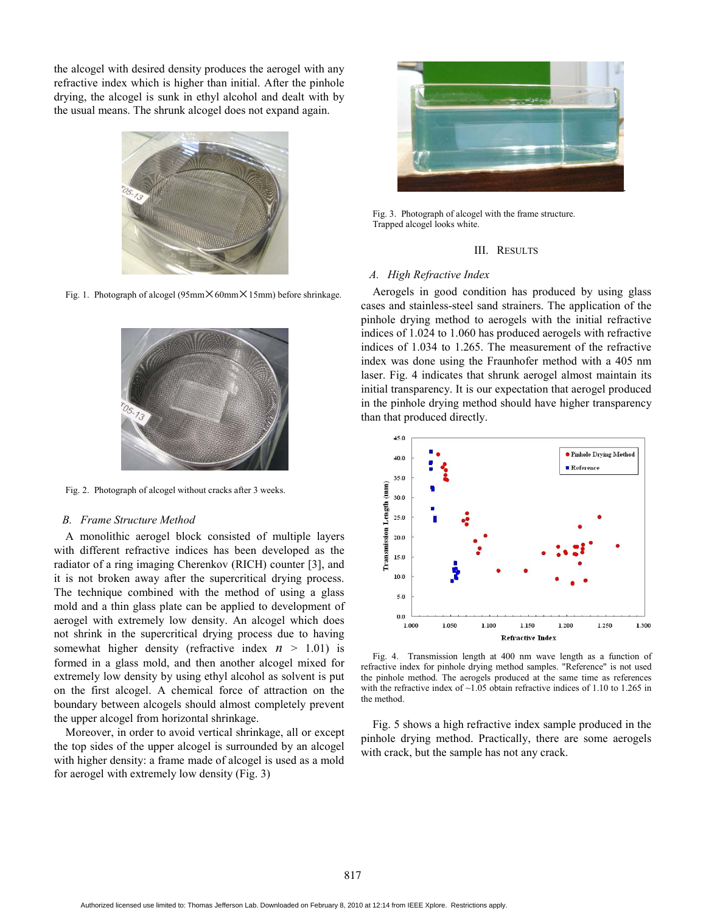the alcogel with desired density produces the aerogel with any refractive index which is higher than initial. After the pinhole drying, the alcogel is sunk in ethyl alcohol and dealt with by the usual means. The shrunk alcogel does not expand again.



Fig. 1. Photograph of alcogel (95mm $\times$ 60mm $\times$ 15mm) before shrinkage.



Fig. 2. Photograph of alcogel without cracks after 3 weeks.

#### *B. Frame Structure Method*

A monolithic aerogel block consisted of multiple layers with different refractive indices has been developed as the radiator of a ring imaging Cherenkov (RICH) counter [3], and it is not broken away after the supercritical drying process. The technique combined with the method of using a glass mold and a thin glass plate can be applied to development of aerogel with extremely low density. An alcogel which does not shrink in the supercritical drying process due to having somewhat higher density (refractive index  $n > 1.01$ ) is formed in a glass mold, and then another alcogel mixed for extremely low density by using ethyl alcohol as solvent is put on the first alcogel. A chemical force of attraction on the boundary between alcogels should almost completely prevent the upper alcogel from horizontal shrinkage.

Moreover, in order to avoid vertical shrinkage, all or except the top sides of the upper alcogel is surrounded by an alcogel with higher density: a frame made of alcogel is used as a mold for aerogel with extremely low density (Fig. 3)



Fig. 3. Photograph of alcogel with the frame structure. Trapped alcogel looks white.

## III. RESULTS

# *A. High Refractive Index*

Aerogels in good condition has produced by using glass cases and stainless-steel sand strainers. The application of the pinhole drying method to aerogels with the initial refractive indices of 1.024 to 1.060 has produced aerogels with refractive indices of 1.034 to 1.265. The measurement of the refractive index was done using the Fraunhofer method with a 405 nm laser. Fig. 4 indicates that shrunk aerogel almost maintain its initial transparency. It is our expectation that aerogel produced in the pinhole drying method should have higher transparency than that produced directly.



Fig. 4. Transmission length at 400 nm wave length as a function of refractive index for pinhole drying method samples. "Reference" is not used the pinhole method. The aerogels produced at the same time as references with the refractive index of  $\sim$ 1.05 obtain refractive indices of 1.10 to 1.265 in the method.

Fig. 5 shows a high refractive index sample produced in the pinhole drying method. Practically, there are some aerogels with crack, but the sample has not any crack.